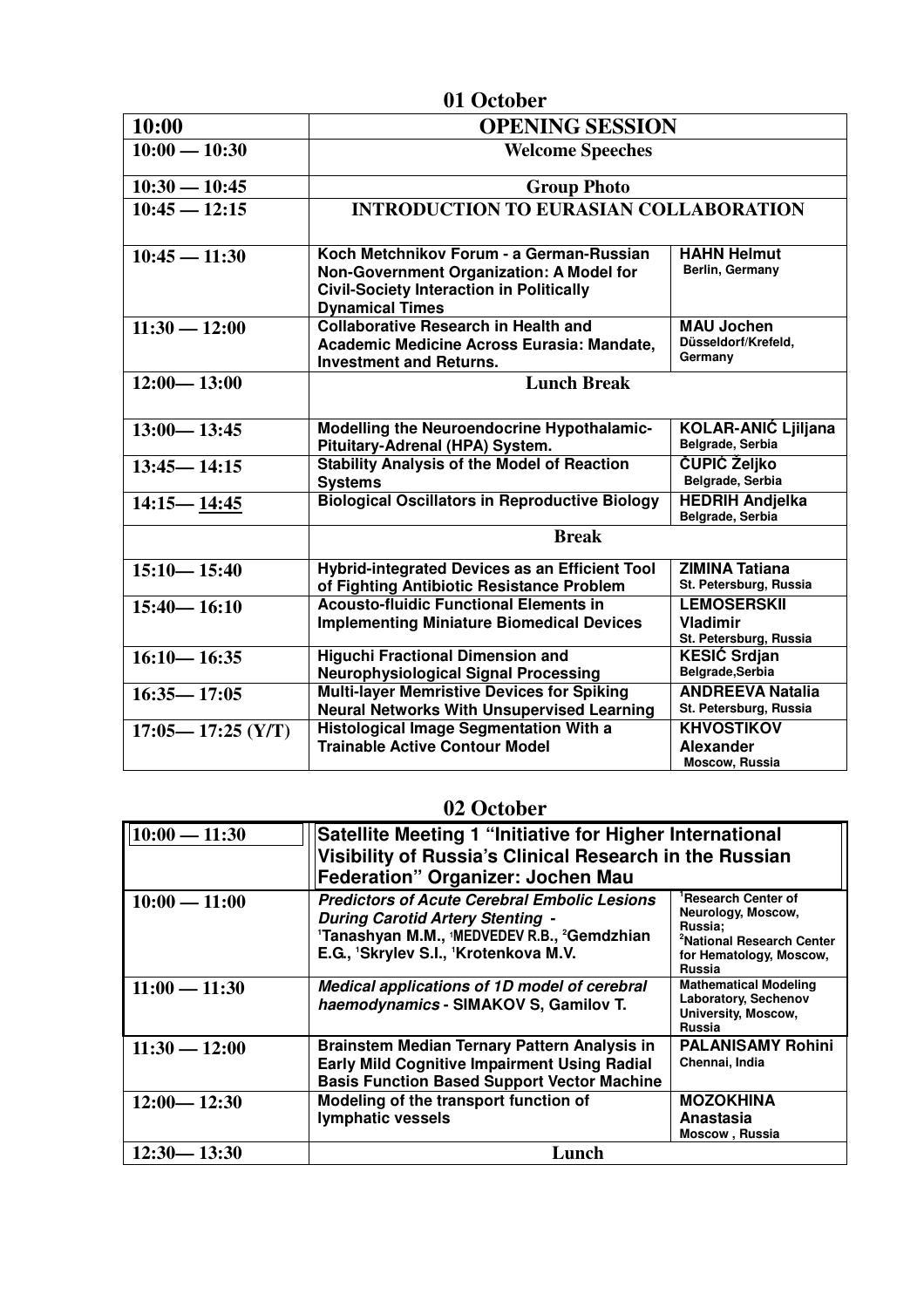| 01 October            |                                                                                                                                                                   |                                                                |  |  |
|-----------------------|-------------------------------------------------------------------------------------------------------------------------------------------------------------------|----------------------------------------------------------------|--|--|
| 10:00                 | <b>OPENING SESSION</b>                                                                                                                                            |                                                                |  |  |
| $10:00 - 10:30$       | <b>Welcome Speeches</b>                                                                                                                                           |                                                                |  |  |
| $10:30 - 10:45$       | <b>Group Photo</b>                                                                                                                                                |                                                                |  |  |
| $10:45 - 12:15$       | <b>INTRODUCTION TO EURASIAN COLLABORATION</b>                                                                                                                     |                                                                |  |  |
| $10:45 - 11:30$       | Koch Metchnikov Forum - a German-Russian<br>Non-Government Organization: A Model for<br><b>Civil-Society Interaction in Politically</b><br><b>Dynamical Times</b> | <b>HAHN Helmut</b><br>Berlin, Germany                          |  |  |
| $11:30 - 12:00$       | <b>Collaborative Research in Health and</b><br>Academic Medicine Across Eurasia: Mandate,<br><b>Investment and Returns.</b>                                       | <b>MAU Jochen</b><br>Düsseldorf/Krefeld,<br>Germany            |  |  |
| $12:00 - 13:00$       | <b>Lunch Break</b>                                                                                                                                                |                                                                |  |  |
| $13:00 - 13:45$       | Modelling the Neuroendocrine Hypothalamic-<br>Pituitary-Adrenal (HPA) System.                                                                                     | <b>KOLAR-ANIĆ Ljiljana</b><br>Belgrade, Serbia                 |  |  |
| $13:45 - 14:15$       | <b>Stability Analysis of the Model of Reaction</b><br><b>Systems</b>                                                                                              | <b>ČUPIĆ Željko</b><br>Belgrade, Serbia                        |  |  |
| $14:15 - 14:45$       | <b>Biological Oscillators in Reproductive Biology</b>                                                                                                             | <b>HEDRIH Andjelka</b><br>Belgrade, Serbia                     |  |  |
|                       | <b>Break</b>                                                                                                                                                      |                                                                |  |  |
| $15:10 - 15:40$       | Hybrid-integrated Devices as an Efficient Tool<br>of Fighting Antibiotic Resistance Problem                                                                       | <b>ZIMINA Tatiana</b><br>St. Petersburg, Russia                |  |  |
| $15:40 - 16:10$       | <b>Acousto-fluidic Functional Elements in</b><br><b>Implementing Miniature Biomedical Devices</b>                                                                 | <b>LEMOSERSKII</b><br>Vladimir<br>St. Petersburg, Russia       |  |  |
| $16:10 - 16:35$       | <b>Higuchi Fractional Dimension and</b><br><b>Neurophysiological Signal Processing</b>                                                                            | <b>KESIĆ Srdjan</b><br>Belgrade, Serbia                        |  |  |
| $16:35 - 17:05$       | <b>Multi-layer Memristive Devices for Spiking</b><br><b>Neural Networks With Unsupervised Learning</b>                                                            | <b>ANDREEVA Natalia</b><br>St. Petersburg, Russia              |  |  |
| $17:05 - 17:25$ (Y/T) | <b>Histological Image Segmentation With a</b><br><b>Trainable Active Contour Model</b>                                                                            | <b>KHVOSTIKOV</b><br><b>Alexander</b><br><b>Moscow, Russia</b> |  |  |

## **02 October**

| $10:00 - 11:30$ | Satellite Meeting 1 "Initiative for Higher International<br>Visibility of Russia's Clinical Research in the Russian<br><b>Federation" Organizer: Jochen Mau</b>                        |                                                                                                                                                       |
|-----------------|----------------------------------------------------------------------------------------------------------------------------------------------------------------------------------------|-------------------------------------------------------------------------------------------------------------------------------------------------------|
| $10:00 - 11:00$ | <b>Predictors of Acute Cerebral Embolic Lesions</b><br><b>During Carotid Artery Stenting -</b><br>'Tanashyan M.M., 'MEDVEDEV R.B., 'Gemdzhian<br>E.G., 'Skrylev S.I., 'Krotenkova M.V. | <sup>1</sup> Research Center of<br>Neurology, Moscow,<br>Russia:<br><sup>2</sup> National Research Center<br>for Hematology, Moscow,<br><b>Russia</b> |
| $11:00 - 11:30$ | Medical applications of 1D model of cerebral<br>haemodynamics - SIMAKOV S, Gamilov T.                                                                                                  | <b>Mathematical Modeling</b><br>Laboratory, Sechenov<br>University, Moscow,<br><b>Russia</b>                                                          |
| $11:30 - 12:00$ | <b>Brainstem Median Ternary Pattern Analysis in</b><br><b>Early Mild Cognitive Impairment Using Radial</b><br><b>Basis Function Based Support Vector Machine</b>                       | <b>PALANISAMY Rohini</b><br>Chennai, India                                                                                                            |
| $12:00 - 12:30$ | Modeling of the transport function of<br>lymphatic vessels                                                                                                                             | <b>MOZOKHINA</b><br>Anastasia<br>Moscow, Russia                                                                                                       |
| $12:30 - 13:30$ | Lunch                                                                                                                                                                                  |                                                                                                                                                       |